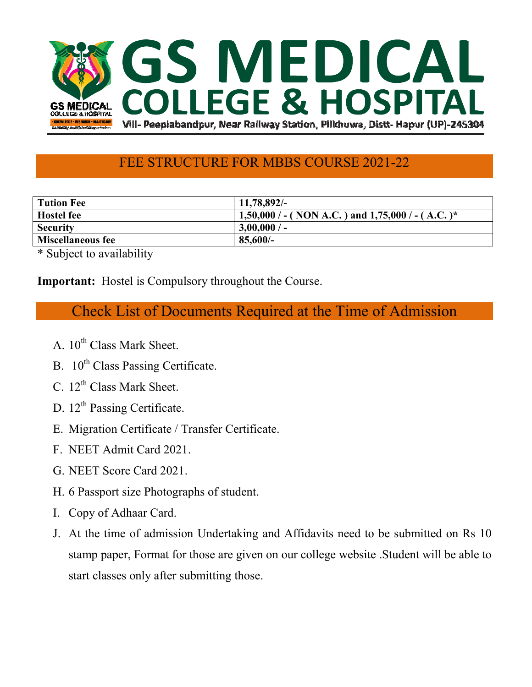

## FEE STRUCTURE FOR MBBS COURSE 2021-22

| Tution Fee               | 11,78,892/-                                          |
|--------------------------|------------------------------------------------------|
| <b>Hostel fee</b>        | 1,50,000 / - ( NON A.C. ) and 1,75,000 / - ( A.C. )* |
| <b>Security</b>          | $3,00,000/$ -                                        |
| <b>Miscellaneous fee</b> | 85,600/                                              |

\* Subject to availability

**Important:** Hostel is Compulsory throughout the Course.

Check List of Documents Required at the Time of Admission

- A.  $10^{th}$  Class Mark Sheet.
- B. 10<sup>th</sup> Class Passing Certificate.
- C.  $12^{th}$  Class Mark Sheet.
- D. 12<sup>th</sup> Passing Certificate.
- E. Migration Certificate / Transfer Certificate.
- F. NEET Admit Card 2021.
- G. NEET Score Card 2021.
- H. 6 Passport size Photographs of student.
- I. Copy of Adhaar Card.
- J. At the time of admission Undertaking and Affidavits need to be submitted on Rs 10 stamp paper, Format for those are given on our college website .Student will be able to start classes only after submitting those.